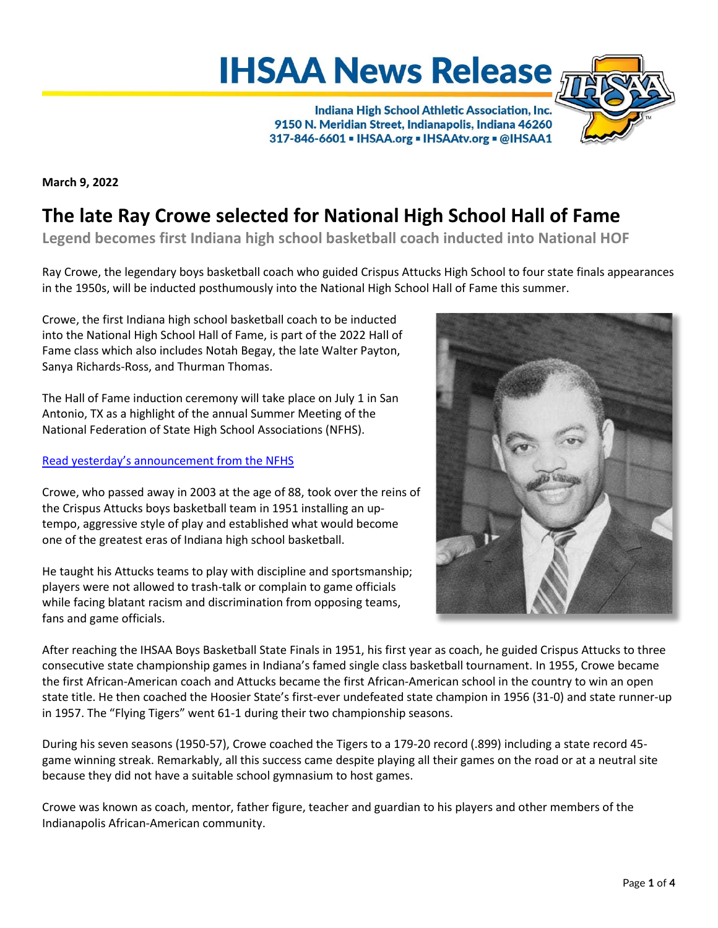# **IHSAA News Release**

Indiana High School Athletic Association, Inc. 9150 N. Meridian Street, Indianapolis, Indiana 46260 317-846-6601 - IHSAA.org - IHSAAtv.org - @IHSAA1



**March 9, 2022**

## **The late Ray Crowe selected for National High School Hall of Fame**

**Legend becomes first Indiana high school basketball coach inducted into National HOF**

Ray Crowe, the legendary boys basketball coach who guided Crispus Attucks High School to four state finals appearances in the 1950s, will be inducted posthumously into the National High School Hall of Fame this summer.

Crowe, the first Indiana high school basketball coach to be inducted into the National High School Hall of Fame, is part of the 2022 Hall of Fame class which also includes Notah Begay, the late Walter Payton, Sanya Richards-Ross, and Thurman Thomas.

The Hall of Fame induction ceremony will take place on July 1 in San Antonio, TX as a highlight of the annual Summer Meeting of the National Federation of State High School Associations (NFHS).

#### Read yesterday's [announcement from the NFHS](https://www.nfhs.org/articles/four-standout-athletes-headline-2022-class-of-national-high-school-hall-of-fame/)

Crowe, who passed away in 2003 at the age of 88, took over the reins of the Crispus Attucks boys basketball team in 1951 installing an uptempo, aggressive style of play and established what would become one of the greatest eras of Indiana high school basketball.

He taught his Attucks teams to play with discipline and sportsmanship; players were not allowed to trash-talk or complain to game officials while facing blatant racism and discrimination from opposing teams, fans and game officials.



After reaching the IHSAA Boys Basketball State Finals in 1951, his first year as coach, he guided Crispus Attucks to three consecutive state championship games in Indiana's famed single class basketball tournament. In 1955, Crowe became the first African-American coach and Attucks became the first African-American school in the country to win an open state title. He then coached the Hoosier State's first-ever undefeated state champion in 1956 (31-0) and state runner-up in 1957. The "Flying Tigers" went 61-1 during their two championship seasons.

During his seven seasons (1950-57), Crowe coached the Tigers to a 179-20 record (.899) including a state record 45 game winning streak. Remarkably, all this success came despite playing all their games on the road or at a neutral site because they did not have a suitable school gymnasium to host games.

Crowe was known as coach, mentor, father figure, teacher and guardian to his players and other members of the Indianapolis African-American community.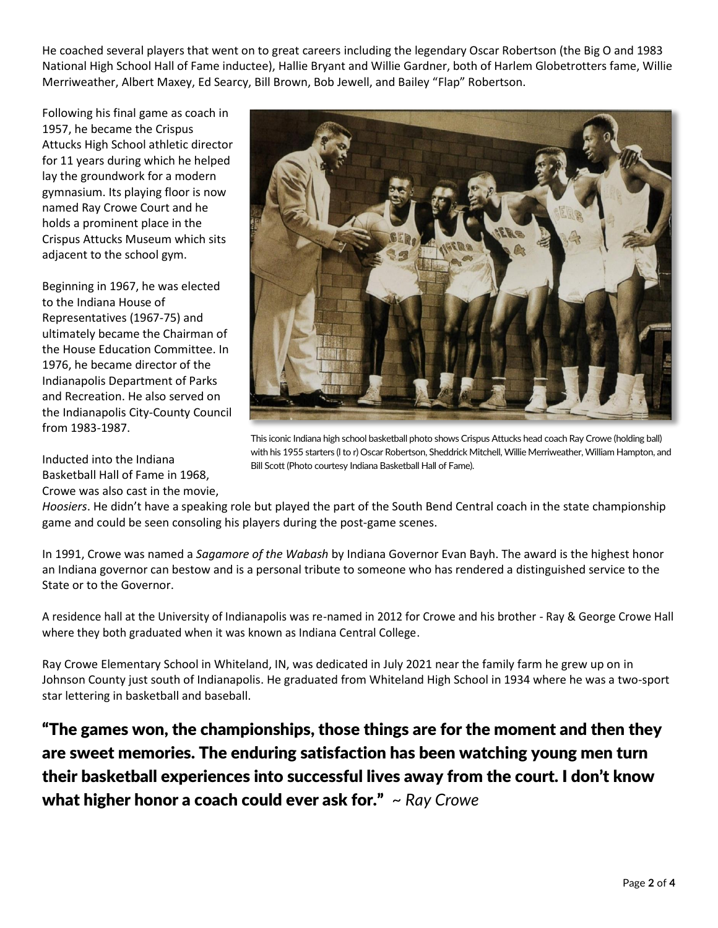He coached several players that went on to great careers including the legendary Oscar Robertson (the Big O and 1983 National High School Hall of Fame inductee), Hallie Bryant and Willie Gardner, both of Harlem Globetrotters fame, Willie Merriweather, Albert Maxey, Ed Searcy, Bill Brown, Bob Jewell, and Bailey "Flap" Robertson.

Following his final game as coach in 1957, he became the Crispus Attucks High School athletic director for 11 years during which he helped lay the groundwork for a modern gymnasium. Its playing floor is now named Ray Crowe Court and he holds a prominent place in the Crispus Attucks Museum which sits adjacent to the school gym.

Beginning in 1967, he was elected to the Indiana House of Representatives (1967-75) and ultimately became the Chairman of the House Education Committee. In 1976, he became director of the Indianapolis Department of Parks and Recreation. He also served on the Indianapolis City-County Council from 1983-1987.

Inducted into the Indiana Basketball Hall of Fame in 1968, Crowe was also cast in the movie,



This iconic Indiana high school basketball photo shows Crispus Attucks head coach Ray Crowe (holding ball) with his 1955 starters (l to r) Oscar Robertson, Sheddrick Mitchell, Willie Merriweather, William Hampton, and Bill Scott (Photo courtesy Indiana Basketball Hall of Fame).

*Hoosiers*. He didn't have a speaking role but played the part of the South Bend Central coach in the state championship game and could be seen consoling his players during the post-game scenes.

In 1991, Crowe was named a *Sagamore of the Wabash* by Indiana Governor Evan Bayh. The award is the highest honor an Indiana governor can bestow and is a personal tribute to someone who has rendered a distinguished service to the State or to the Governor.

A residence hall at the University of Indianapolis was re-named in 2012 for Crowe and his brother - Ray & George Crowe Hall where they both graduated when it was known as Indiana Central College.

Ray Crowe Elementary School in Whiteland, IN, was dedicated in July 2021 near the family farm he grew up on in Johnson County just south of Indianapolis. He graduated from Whiteland High School in 1934 where he was a two-sport star lettering in basketball and baseball.

"The games won, the championships, those things are for the moment and then they are sweet memories. The enduring satisfaction has been watching young men turn their basketball experiences into successful lives away from the court. I don't know what higher honor a coach could ever ask for." *~ Ray Crowe*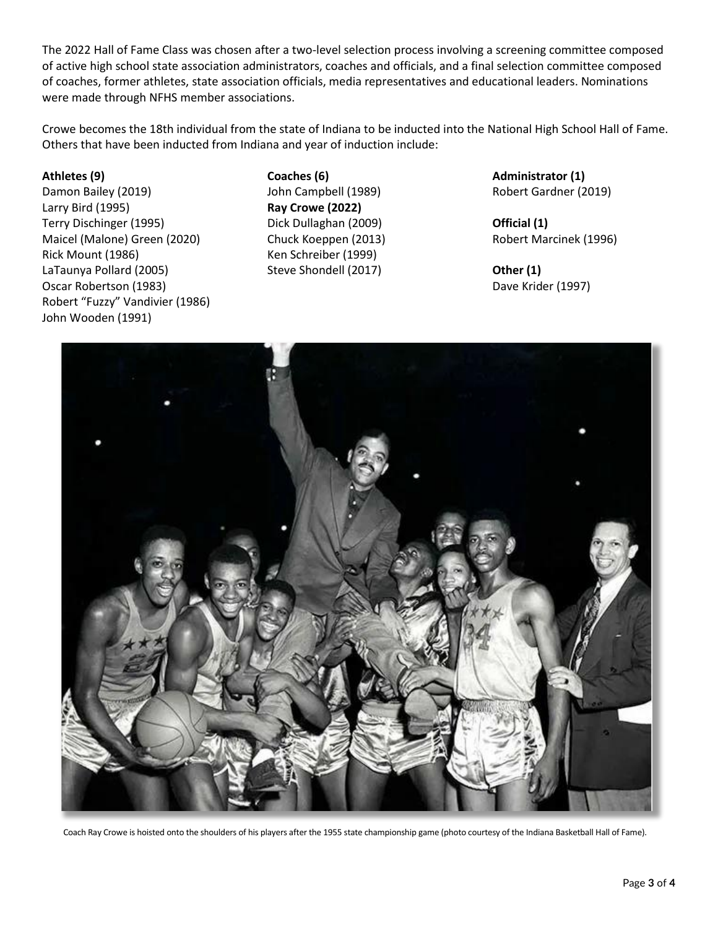The 2022 Hall of Fame Class was chosen after a two-level selection process involving a screening committee composed of active high school state association administrators, coaches and officials, and a final selection committee composed of coaches, former athletes, state association officials, media representatives and educational leaders. Nominations were made through NFHS member associations.

Crowe becomes the 18th individual from the state of Indiana to be inducted into the National High School Hall of Fame. Others that have been inducted from Indiana and year of induction include:

#### **Athletes (9)**

Damon Bailey (2019) Larry Bird (1995) Terry Dischinger (1995) Maicel (Malone) Green (2020) Rick Mount (1986) LaTaunya Pollard (2005) Oscar Robertson (1983) Robert "Fuzzy" Vandivier (1986) John Wooden (1991)

**Coaches (6)** John Campbell (1989) **Ray Crowe (2022)** Dick Dullaghan (2009) Chuck Koeppen (2013) Ken Schreiber (1999) Steve Shondell (2017)

**Administrator (1)** Robert Gardner (2019)

**Official (1)** Robert Marcinek (1996)

**Other (1)** Dave Krider (1997)



Coach Ray Crowe is hoisted onto the shoulders of his players after the 1955 state championship game (photo courtesy of the Indiana Basketball Hall of Fame).